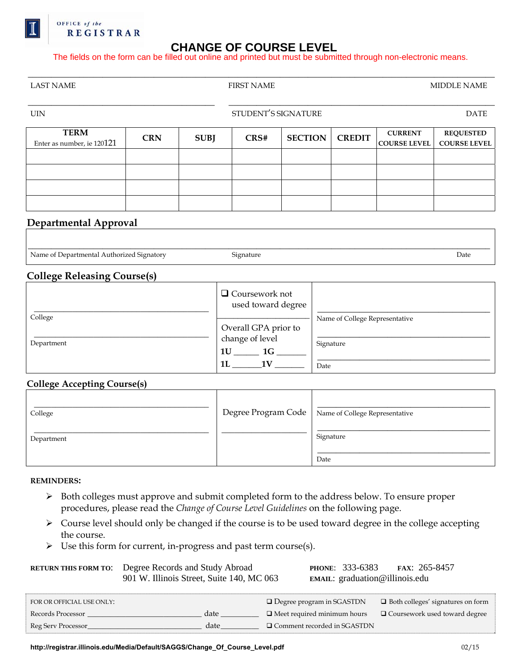

## OFFICE of the **REGISTRAR**

# **CHANGE OF COURSE LEVEL**

The fields on the form can be filled out online and printed but must be submitted through non-electronic means.

| <b>LAST NAME</b>                                       |            |             | <b>FIRST NAME</b>                           |                |                                |                                       | <b>MIDDLE NAME</b>                      |  |
|--------------------------------------------------------|------------|-------------|---------------------------------------------|----------------|--------------------------------|---------------------------------------|-----------------------------------------|--|
| <b>UIN</b>                                             |            |             | STUDENT'S SIGNATURE                         |                |                                | <b>DATE</b>                           |                                         |  |
| <b>TERM</b><br>Enter as number, ie 120121              | <b>CRN</b> | <b>SUBJ</b> | CRS#                                        | <b>SECTION</b> | <b>CREDIT</b>                  | <b>CURRENT</b><br><b>COURSE LEVEL</b> | <b>REQUESTED</b><br><b>COURSE LEVEL</b> |  |
|                                                        |            |             |                                             |                |                                |                                       |                                         |  |
|                                                        |            |             |                                             |                |                                |                                       |                                         |  |
|                                                        |            |             |                                             |                |                                |                                       |                                         |  |
| <b>Departmental Approval</b>                           |            |             |                                             |                |                                |                                       |                                         |  |
|                                                        |            |             |                                             |                |                                |                                       |                                         |  |
| Name of Departmental Authorized Signatory<br>Signature |            |             |                                             | Date           |                                |                                       |                                         |  |
| <b>College Releasing Course(s)</b>                     |            |             |                                             |                |                                |                                       |                                         |  |
|                                                        |            |             | $\Box$ Coursework not<br>used toward degree |                |                                |                                       |                                         |  |
| College                                                |            |             |                                             |                | Name of College Representative |                                       |                                         |  |

| Name of Departmental Authorized Signatory | Signature | Date |
|-------------------------------------------|-----------|------|

|            | $\Box$ Coursework not<br>used toward degree         |                                |
|------------|-----------------------------------------------------|--------------------------------|
| College    |                                                     | Name of College Representative |
| Department | Overall GPA prior to<br>change of level<br>1U<br>1G | Signature                      |
|            | 1L<br>1 V                                           | Date                           |

## **College Accepting Course(s)**

| College    | Degree Program Code   Name of College Representative |
|------------|------------------------------------------------------|
| Department | Signature<br>Date                                    |

#### **REMINDERS:**

- ¾ Both colleges must approve and submit completed form to the address below. To ensure proper procedures, please read the *[Change of Course Level Guidelines](https://registrar.illinois.edu/Media/Default/pdf/Change_Level_Guidelines.pdf)* on the following page.
- ¾ Course level should only be changed if the course is to be used toward degree in the college accepting the course.
- $\triangleright$  Use this form for current, in-progress and past term course(s).

| <b>RETURN THIS FORM TO:</b> | Degree Records and Study Abroad<br>901 W. Illinois Street, Suite 140, MC 063 |                                    | PHONE: 333-6383<br>FAX: 265-8457<br>EMAIL: $\text{graduation@illinois.edu}$ |  |  |
|-----------------------------|------------------------------------------------------------------------------|------------------------------------|-----------------------------------------------------------------------------|--|--|
| FOR OR OFFICIAL USE ONLY:   |                                                                              | $\Box$ Degree program in SGASTDN   | $\Box$ Both colleges' signatures on form                                    |  |  |
| Records Processor           | date                                                                         | $\Box$ Meet required minimum hours | $\Box$ Coursework used toward degree                                        |  |  |
| Reg Serv Processor          | date                                                                         | □ Comment recorded in SGASTDN      |                                                                             |  |  |